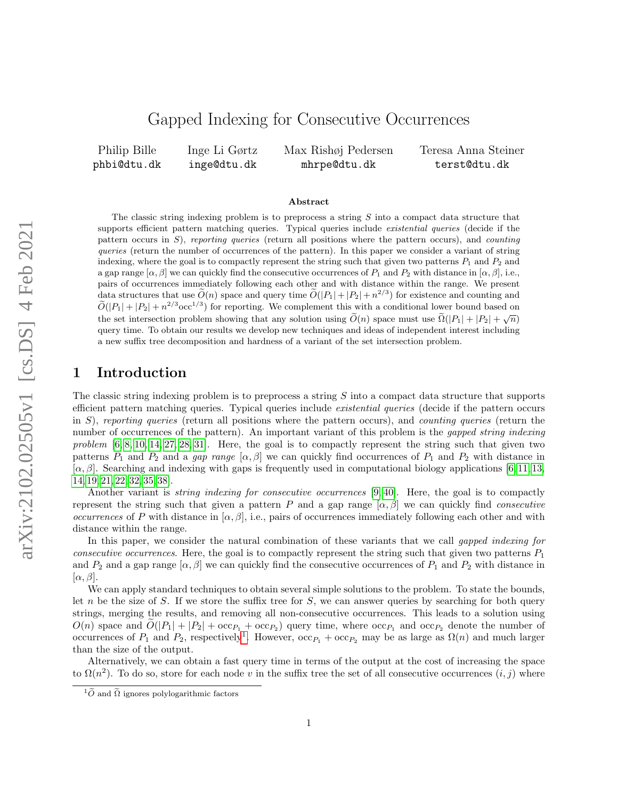# Gapped Indexing for Consecutive Occurrences

Philip Bille phbi@dtu.dk

Inge Li Gørtz inge@dtu.dk Max Rishøj Pedersen mhrpe@dtu.dk

Teresa Anna Steiner terst@dtu.dk

#### Abstract

The classic string indexing problem is to preprocess a string S into a compact data structure that supports efficient pattern matching queries. Typical queries include *existential queries* (decide if the pattern occurs in S), reporting queries (return all positions where the pattern occurs), and counting queries (return the number of occurrences of the pattern). In this paper we consider a variant of string indexing, where the goal is to compactly represent the string such that given two patterns  $P_1$  and  $P_2$  and a gap range  $[\alpha, \beta]$  we can quickly find the consecutive occurrences of  $P_1$  and  $P_2$  with distance in  $[\alpha, \beta]$ , i.e., pairs of occurrences immediately following each other and with distance within the range. We present data structures that use  $\widetilde{O}(n)$  space and query time  $\widetilde{O}(|P_1| + |P_2| + n^{2/3})$  for existence and counting and  $\widetilde{O}(|P_1| + |P_2| + n^{2/3} \text{occ}^{1/3})$  for reporting. We complement this with a conditional lower bound based on the set intersection problem showing that any solution using  $\tilde{O}(n)$  space must use  $\tilde{\Omega}(|P_1| + |P_2| + \sqrt{n})$ query time. To obtain our results we develop new techniques and ideas of independent interest including a new suffix tree decomposition and hardness of a variant of the set intersection problem.

### 1 Introduction

The classic string indexing problem is to preprocess a string S into a compact data structure that supports efficient pattern matching queries. Typical queries include existential queries (decide if the pattern occurs in  $S$ ), reporting queries (return all positions where the pattern occurs), and *counting queries* (return the number of occurrences of the pattern). An important variant of this problem is the *gapped string indexing* problem  $[6, 8, 10, 14, 27, 28, 31]$  $[6, 8, 10, 14, 27, 28, 31]$  $[6, 8, 10, 14, 27, 28, 31]$  $[6, 8, 10, 14, 27, 28, 31]$  $[6, 8, 10, 14, 27, 28, 31]$  $[6, 8, 10, 14, 27, 28, 31]$  $[6, 8, 10, 14, 27, 28, 31]$ . Here, the goal is to compactly represent the string such that given two patterns  $P_1$  and  $P_2$  and a gap range  $[\alpha, \beta]$  we can quickly find occurrences of  $P_1$  and  $P_2$  with distance in  $[\alpha, \beta]$ . Searching and indexing with gaps is frequently used in computational biology applications [\[6,](#page-15-0) [11,](#page-15-4) [13,](#page-15-5) [14,](#page-15-3) [19,](#page-15-6) [21,](#page-15-7) [22,](#page-15-8) [32,](#page-16-3) [35,](#page-16-4) [38\]](#page-16-5).

Another variant is *string indexing for consecutive occurrences* [\[9,](#page-15-9) [40\]](#page-16-6). Here, the goal is to compactly represent the string such that given a pattern P and a gap range  $[\alpha, \beta]$  we can quickly find *consecutive* occurrences of P with distance in  $[\alpha, \beta]$ , i.e., pairs of occurrences immediately following each other and with distance within the range.

In this paper, we consider the natural combination of these variants that we call *qapped indexing for* consecutive occurrences. Here, the goal is to compactly represent the string such that given two patterns  $P_1$ and  $P_2$  and a gap range  $[\alpha, \beta]$  we can quickly find the consecutive occurrences of  $P_1$  and  $P_2$  with distance in  $[\alpha, \beta]$ .

We can apply standard techniques to obtain several simple solutions to the problem. To state the bounds, let n be the size of S. If we store the suffix tree for S, we can answer queries by searching for both query strings, merging the results, and removing all non-consecutive occurrences. This leads to a solution using  $O(n)$  space and  $O(|P_1| + |P_2| + \operatorname{occ}_{P_1} + \operatorname{occ}_{P_2})$  query time, where  $\operatorname{occ}_{P_1}$  and  $\operatorname{occ}_{P_2}$  denote the number of occurrences of  $P_1$  $P_1$  and  $P_2$ , respectively<sup>1</sup>. However,  $\operatorname{occ}_{P_1} + \operatorname{occ}_{P_2}$  may be as large as  $\Omega(n)$  and much larger than the size of the output.

Alternatively, we can obtain a fast query time in terms of the output at the cost of increasing the space to  $\Omega(n^2)$ . To do so, store for each node v in the suffix tree the set of all consecutive occurrences  $(i, j)$  where

<span id="page-0-0"></span> $1\tilde{O}$  and  $\tilde{\Omega}$  ignores polylogarithmic factors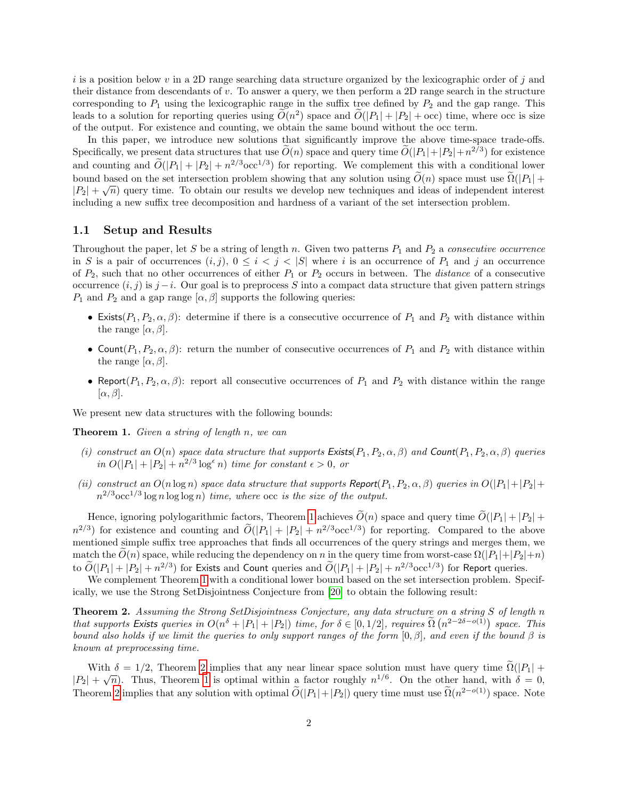i is a position below v in a 2D range searching data structure organized by the lexicographic order of j and their distance from descendants of v. To answer a query, we then perform a 2D range search in the structure corresponding to  $P_1$  using the lexicographic range in the suffix tree defined by  $P_2$  and the gap range. This leads to a solution for reporting queries using  $O(n^2)$  space and  $O(|P_1| + |P_2| + \text{occ})$  time, where occ is size of the output. For existence and counting, we obtain the same bound without the occ term.

In this paper, we introduce new solutions that significantly improve the above time-space trade-offs. Specifically, we present data structures that use  $\widetilde{O}(n)$  space and query time  $\widetilde{O}(|P_1|+|P_2|+n^{2/3})$  for existence and counting and  $\widetilde{O}(|P_1| + |P_2| + n^{2/3} \text{occ}^{1/3})$  for reporting. We complement this with a conditional lower bound based on the set intersection problem showing that any solution using  $O(n)$  space must use  $\Omega(|P_1| + |P_2|)$  $|P_2| + \sqrt{n}$  query time. To obtain our results we develop new techniques and ideas of independent interest including a new suffix tree decomposition and hardness of a variant of the set intersection problem.

#### 1.1 Setup and Results

Throughout the paper, let S be a string of length n. Given two patterns  $P_1$  and  $P_2$  a consecutive occurrence in S is a pair of occurrences  $(i, j)$ ,  $0 \leq i < j < |S|$  where i is an occurrence of  $P_1$  and j an occurrence of  $P_2$ , such that no other occurrences of either  $P_1$  or  $P_2$  occurs in between. The *distance* of a consecutive occurrence  $(i, j)$  is  $j - i$ . Our goal is to preprocess S into a compact data structure that given pattern strings  $P_1$  and  $P_2$  and a gap range  $[\alpha, \beta]$  supports the following queries:

- Exists $(P_1, P_2, \alpha, \beta)$ : determine if there is a consecutive occurrence of  $P_1$  and  $P_2$  with distance within the range  $[\alpha, \beta]$ .
- Count $(P_1, P_2, \alpha, \beta)$ : return the number of consecutive occurrences of  $P_1$  and  $P_2$  with distance within the range  $[\alpha, \beta]$ .
- Report $(P_1, P_2, \alpha, \beta)$ : report all consecutive occurrences of  $P_1$  and  $P_2$  with distance within the range  $[\alpha, \beta]$ .

We present new data structures with the following bounds:

<span id="page-1-0"></span>**Theorem 1.** Given a string of length  $n$ , we can

- <span id="page-1-3"></span>(i) construct an  $O(n)$  space data structure that supports Exists( $P_1, P_2, \alpha, \beta$ ) and Count( $P_1, P_2, \alpha, \beta$ ) queries in  $O(|P_1|+|P_2|+n^{2/3}\log^{\epsilon} n)$  time for constant  $\epsilon > 0$ , or
- <span id="page-1-2"></span>(ii) construct an  $O(n \log n)$  space data structure that supports Report $(P_1, P_2, \alpha, \beta)$  queries in  $O(|P_1|+|P_2|+$  $n^{2/3}$ occ<sup>1/3</sup> log n log log n) time, where occ is the size of the output.

Hence, ignoring polylogarithmic factors, Theorem [1](#page-1-0) achieves  $\widetilde{O}(n)$  space and query time  $\widetilde{O}(|P_1| + |P_2| +$  $n^{2/3}$ ) for existence and counting and  $\tilde{O}(|P_1| + |P_2| + n^{2/3} \text{occ}^{1/3})$  for reporting. Compared to the above mentioned simple suffix tree approaches that finds all occurrences of the query strings and merges them, we match the  $\tilde{O}(n)$  space, while reducing the dependency on n in the query time from worst-case  $\Omega(|P_1|+|P_2|+n)$ to  $\widetilde{O}(|P_1| + |P_2| + n^{2/3})$  for Exists and Count queries and  $\widetilde{O}(|P_1| + |P_2| + n^{2/3} \text{occ}^{1/3})$  for Report queries.

We complement Theorem [1](#page-1-0) with a conditional lower bound based on the set intersection problem. Specifically, we use the Strong SetDisjointness Conjecture from [\[20\]](#page-15-10) to obtain the following result:

<span id="page-1-1"></span>Theorem 2. Assuming the Strong SetDisjointness Conjecture, any data structure on a string S of length n that supports Exists queries in  $O(n^{\delta} + |P_1| + |P_2|)$  time, for  $\delta \in [0, 1/2]$ , requires  $\tilde{\Omega}$   $(n^{2-2\delta - o(1)})$  space. This bound also holds if we limit the queries to only support ranges of the form  $[0, \beta]$ , and even if the bound  $\beta$  is known at preprocessing time.

With  $\delta = 1/2$ , Theorem [2](#page-1-1) implies that any near linear space solution must have query time  $\Omega(|P_1| +$  $|P_2| + \sqrt{n}$ ). Thus, Theorem [1](#page-1-0) is optimal within a factor roughly  $n^{1/6}$ . On the other hand, with  $\delta = 0$ , Theorem [2](#page-1-1) implies that any solution with optimal  $\widetilde{O}(|P_1|+|P_2|)$  query time must use  $\widetilde{O}(n^{2-o(1)})$  space. Note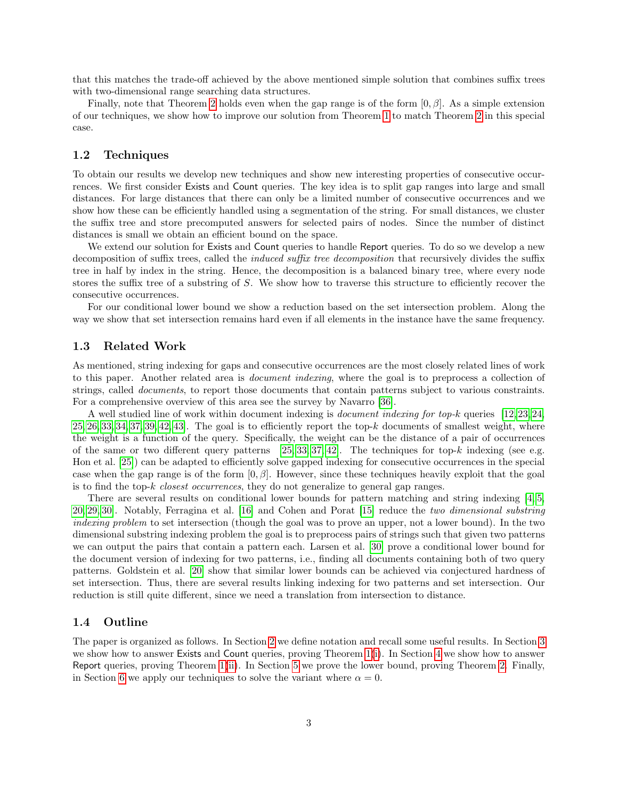that this matches the trade-off achieved by the above mentioned simple solution that combines suffix trees with two-dimensional range searching data structures.

Finally, note that Theorem [2](#page-1-1) holds even when the gap range is of the form  $[0, \beta]$ . As a simple extension of our techniques, we show how to improve our solution from Theorem [1](#page-1-0) to match Theorem [2](#page-1-1) in this special case.

#### 1.2 Techniques

To obtain our results we develop new techniques and show new interesting properties of consecutive occurrences. We first consider Exists and Count queries. The key idea is to split gap ranges into large and small distances. For large distances that there can only be a limited number of consecutive occurrences and we show how these can be efficiently handled using a segmentation of the string. For small distances, we cluster the suffix tree and store precomputed answers for selected pairs of nodes. Since the number of distinct distances is small we obtain an efficient bound on the space.

We extend our solution for Exists and Count queries to handle Report queries. To do so we develop a new decomposition of suffix trees, called the *induced suffix tree decomposition* that recursively divides the suffix tree in half by index in the string. Hence, the decomposition is a balanced binary tree, where every node stores the suffix tree of a substring of S. We show how to traverse this structure to efficiently recover the consecutive occurrences.

For our conditional lower bound we show a reduction based on the set intersection problem. Along the way we show that set intersection remains hard even if all elements in the instance have the same frequency.

#### 1.3 Related Work

As mentioned, string indexing for gaps and consecutive occurrences are the most closely related lines of work to this paper. Another related area is document indexing, where the goal is to preprocess a collection of strings, called *documents*, to report those documents that contain patterns subject to various constraints. For a comprehensive overview of this area see the survey by Navarro [\[36\]](#page-16-7).

A well studied line of work within document indexing is *document indexing for top-k* queries [\[12,](#page-15-11) [23,](#page-15-12) [24,](#page-15-13)  $25, 26, 33, 34, 37, 39, 42, 43$  $25, 26, 33, 34, 37, 39, 42, 43$  $25, 26, 33, 34, 37, 39, 42, 43$  $25, 26, 33, 34, 37, 39, 42, 43$  $25, 26, 33, 34, 37, 39, 42, 43$  $25, 26, 33, 34, 37, 39, 42, 43$  $25, 26, 33, 34, 37, 39, 42, 43$  $25, 26, 33, 34, 37, 39, 42, 43$ . The goal is to efficiently report the top- $k$  documents of smallest weight, where the weight is a function of the query. Specifically, the weight can be the distance of a pair of occurrences of the same or two different query patterns  $[25, 33, 37, 42]$  $[25, 33, 37, 42]$  $[25, 33, 37, 42]$  $[25, 33, 37, 42]$ . The techniques for top-k indexing (see e.g. Hon et al. [\[25\]](#page-16-8)) can be adapted to efficiently solve gapped indexing for consecutive occurrences in the special case when the gap range is of the form  $[0, \beta]$ . However, since these techniques heavily exploit that the goal is to find the top-k closest occurrences, they do not generalize to general gap ranges.

There are several results on conditional lower bounds for pattern matching and string indexing [\[4,](#page-14-0) [5,](#page-14-1) [20,](#page-15-10) [29,](#page-16-16) [30\]](#page-16-17). Notably, Ferragina et al. [\[16\]](#page-15-14) and Cohen and Porat [\[15\]](#page-15-15) reduce the two dimensional substring indexing problem to set intersection (though the goal was to prove an upper, not a lower bound). In the two dimensional substring indexing problem the goal is to preprocess pairs of strings such that given two patterns we can output the pairs that contain a pattern each. Larsen et al. [\[30\]](#page-16-17) prove a conditional lower bound for the document version of indexing for two patterns, i.e., finding all documents containing both of two query patterns. Goldstein et al. [\[20\]](#page-15-10) show that similar lower bounds can be achieved via conjectured hardness of set intersection. Thus, there are several results linking indexing for two patterns and set intersection. Our reduction is still quite different, since we need a translation from intersection to distance.

#### 1.4 Outline

The paper is organized as follows. In Section [2](#page-3-0) we define notation and recall some useful results. In Section [3](#page-3-1) we show how to answer Exists and Count queries, proving Theorem [1\(](#page-1-0)[i\)](#page-13-0). In Section [4](#page-7-0) we show how to answer Report queries, proving Theorem [1\(](#page-1-0)[ii\)](#page-1-2). In Section [5](#page-11-0) we prove the lower bound, proving Theorem [2.](#page-1-1) Finally, in Section [6](#page-12-0) we apply our techniques to solve the variant where  $\alpha = 0$ .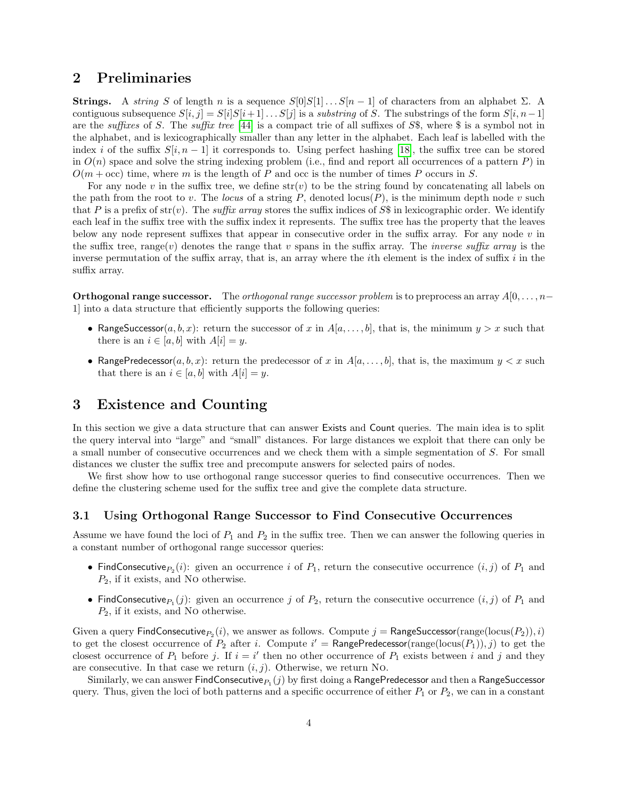### <span id="page-3-0"></span>2 Preliminaries

**Strings.** A string S of length n is a sequence  $S[0]S[1] \dots S[n-1]$  of characters from an alphabet  $\Sigma$ . A contiguous subsequence  $S[i, j] = S[i]S[i+1] \dots S[j]$  is a *substring* of S. The substrings of the form  $S[i, n-1]$ are the suffixes of S. The suffix tree [\[44\]](#page-16-18) is a compact trie of all suffixes of S\$, where \$ is a symbol not in the alphabet, and is lexicographically smaller than any letter in the alphabet. Each leaf is labelled with the index i of the suffix  $S[i, n-1]$  it corresponds to. Using perfect hashing [\[18\]](#page-15-16), the suffix tree can be stored in  $O(n)$  space and solve the string indexing problem (i.e., find and report all occurrences of a pattern  $P$ ) in  $O(m + \text{occ})$  time, where m is the length of P and occ is the number of times P occurs in S.

For any node v in the suffix tree, we define  $str(v)$  to be the string found by concatenating all labels on the path from the root to v. The locus of a string P, denoted  $\text{locus}(P)$ , is the minimum depth node v such that P is a prefix of  $str(v)$ . The suffix array stores the suffix indices of S\$ in lexicographic order. We identify each leaf in the suffix tree with the suffix index it represents. The suffix tree has the property that the leaves below any node represent suffixes that appear in consecutive order in the suffix array. For any node  $v$  in the suffix tree, range(v) denotes the range that v spans in the suffix array. The *inverse suffix array* is the inverse permutation of the suffix array, that is, an array where the ith element is the index of suffix i in the suffix array.

**Orthogonal range successor.** The *orthogonal range successor problem* is to preprocess an array  $A[0, \ldots, n-$ 1] into a data structure that efficiently supports the following queries:

- RangeSuccessor( $a, b, x$ ): return the successor of x in  $A[a, \ldots, b]$ , that is, the minimum  $y > x$  such that there is an  $i \in [a, b]$  with  $A[i] = y$ .
- RangePredecessor $(a, b, x)$ : return the predecessor of x in  $A[a, \ldots, b]$ , that is, the maximum  $y < x$  such that there is an  $i \in [a, b]$  with  $A[i] = y$ .

### <span id="page-3-1"></span>3 Existence and Counting

In this section we give a data structure that can answer Exists and Count queries. The main idea is to split the query interval into "large" and "small" distances. For large distances we exploit that there can only be a small number of consecutive occurrences and we check them with a simple segmentation of S. For small distances we cluster the suffix tree and precompute answers for selected pairs of nodes.

We first show how to use orthogonal range successor queries to find consecutive occurrences. Then we define the clustering scheme used for the suffix tree and give the complete data structure.

#### <span id="page-3-2"></span>3.1 Using Orthogonal Range Successor to Find Consecutive Occurrences

Assume we have found the loci of  $P_1$  and  $P_2$  in the suffix tree. Then we can answer the following queries in a constant number of orthogonal range successor queries:

- FindConsecutive $P_2(i)$ : given an occurrence i of  $P_1$ , return the consecutive occurrence  $(i, j)$  of  $P_1$  and  $P_2$ , if it exists, and No otherwise.
- FindConsecutive $P_1(j)$ : given an occurrence j of  $P_2$ , return the consecutive occurrence  $(i, j)$  of  $P_1$  and  $P_2$ , if it exists, and No otherwise.

Given a query  $\mathsf{FindConsecutive}_{P_2}(i)$ , we answer as follows. Compute  $j = \mathsf{RangeSuccessor}(\mathrm{range}(\mathrm{locus}(P_2)), i)$ to get the closest occurrence of  $P_2$  after i. Compute  $i' = \text{RangePredecessary}(range(locus(P_1)), j)$  to get the closest occurrence of  $P_1$  before j. If  $i = i'$  then no other occurrence of  $P_1$  exists between i and j and they are consecutive. In that case we return  $(i, j)$ . Otherwise, we return No.

Similarly, we can answer  ${\sf FindConsecutive}_{P_1}(j)$  by first doing a  ${\sf RangePredecessary}$  and then a  ${\sf RangeSuccessor}$ query. Thus, given the loci of both patterns and a specific occurrence of either  $P_1$  or  $P_2$ , we can in a constant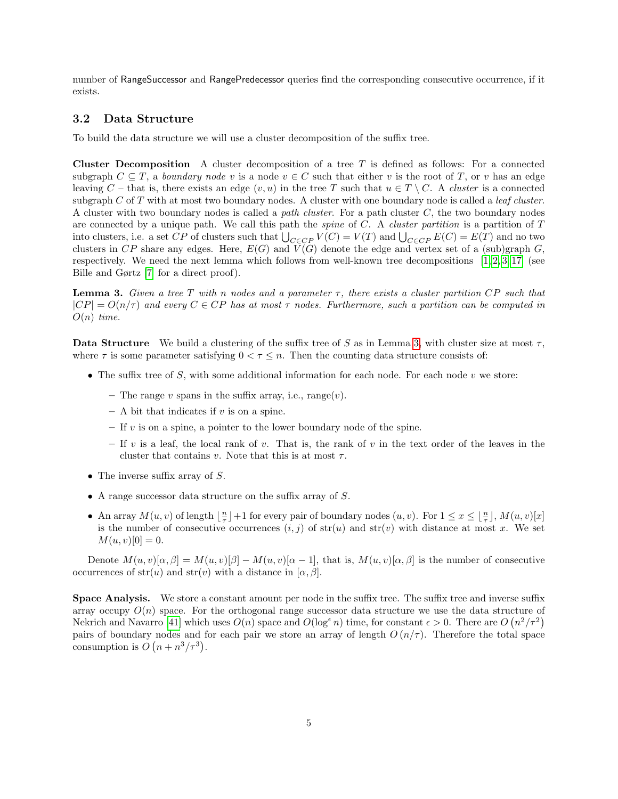number of RangeSuccessor and RangePredecessor queries find the corresponding consecutive occurrence, if it exists.

### 3.2 Data Structure

To build the data structure we will use a cluster decomposition of the suffix tree.

**Cluster Decomposition** A cluster decomposition of a tree  $T$  is defined as follows: For a connected subgraph  $C \subseteq T$ , a *boundary node* v is a node  $v \in C$  such that either v is the root of T, or v has an edge leaving C – that is, there exists an edge  $(v, u)$  in the tree T such that  $u \in T \setminus C$ . A cluster is a connected subgraph  $C$  of  $T$  with at most two boundary nodes. A cluster with one boundary node is called a *leaf cluster*. A cluster with two boundary nodes is called a path cluster. For a path cluster  $C$ , the two boundary nodes are connected by a unique path. We call this path the *spine* of  $C$ . A *cluster partition* is a partition of  $T$ into clusters, i.e. a set CP of clusters such that  $\bigcup_{C \in CP} V(C) = V(T)$  and  $\bigcup_{C \in CP} E(C) = E(T)$  and no two clusters in CP share any edges. Here,  $E(G)$  and  $\tilde{V}(G)$  denote the edge and vertex set of a (sub)graph G, respectively. We need the next lemma which follows from well-known tree decompositions  $[1, 2, 3, 17]$  $[1, 2, 3, 17]$  $[1, 2, 3, 17]$  $[1, 2, 3, 17]$  (see Bille and Gørtz [\[7\]](#page-15-18) for a direct proof).

<span id="page-4-0"></span>**Lemma 3.** Given a tree T with n nodes and a parameter  $\tau$ , there exists a cluster partition CP such that  $|CP| = O(n/\tau)$  and every  $C \in CP$  has at most  $\tau$  nodes. Furthermore, such a partition can be computed in  $O(n)$  time.

Data Structure We build a clustering of the suffix tree of S as in Lemma [3,](#page-4-0) with cluster size at most  $\tau$ , where  $\tau$  is some parameter satisfying  $0 < \tau \leq n$ . Then the counting data structure consists of:

- The suffix tree of  $S$ , with some additional information for each node. For each node  $v$  we store:
	- The range v spans in the suffix array, i.e., range $(v)$ .
	- $-$  A bit that indicates if v is on a spine.
	- $-$  If v is on a spine, a pointer to the lower boundary node of the spine.
	- If v is a leaf, the local rank of v. That is, the rank of v in the text order of the leaves in the cluster that contains v. Note that this is at most  $\tau$ .
- The inverse suffix array of  $S$ .
- A range successor data structure on the suffix array of S.
- An array  $M(u, v)$  of length  $\lfloor \frac{n}{\tau} \rfloor + 1$  for every pair of boundary nodes  $(u, v)$ . For  $1 \le x \le \lfloor \frac{n}{\tau} \rfloor$ ,  $M(u, v)[x]$ is the number of consecutive occurrences  $(i, j)$  of  $str(u)$  and  $str(v)$  with distance at most x. We set  $M(u, v)[0] = 0.$

Denote  $M(u, v)[\alpha, \beta] = M(u, v)[\beta] - M(u, v)[\alpha - 1]$ , that is,  $M(u, v)[\alpha, \beta]$  is the number of consecutive occurrences of  $str(u)$  and  $str(v)$  with a distance in [ $\alpha$ ,  $\beta$ ].

Space Analysis. We store a constant amount per node in the suffix tree. The suffix tree and inverse suffix array occupy  $O(n)$  space. For the orthogonal range successor data structure we use the data structure of Nekrich and Navarro [\[41\]](#page-16-19) which uses  $O(n)$  space and  $O(\log^{\epsilon} n)$  time, for constant  $\epsilon > 0$ . There are  $O(n^2/\tau^2)$ pairs of boundary nodes and for each pair we store an array of length  $O(n/\tau)$ . Therefore the total space consumption is  $O(n + n^3/\tau^3)$ .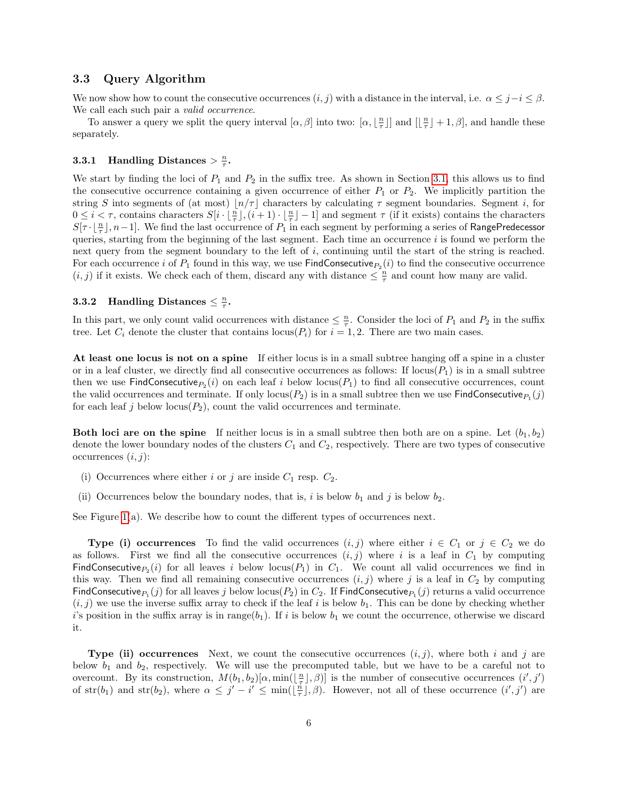#### 3.3 Query Algorithm

We now show how to count the consecutive occurrences  $(i, j)$  with a distance in the interval, i.e.  $\alpha \leq j-i \leq \beta$ . We call each such pair a valid occurrence.

To answer a query we split the query interval  $[\alpha, \beta]$  into two:  $[\alpha, \lfloor \frac{n}{\tau} \rfloor]$  and  $[\lfloor \frac{n}{\tau} \rfloor + 1, \beta]$ , and handle these separately.

## **3.3.1 Handling Distances**  $> \frac{n}{\tau}$ .

We start by finding the loci of  $P_1$  and  $P_2$  in the suffix tree. As shown in Section [3.1,](#page-3-2) this allows us to find the consecutive occurrence containing a given occurrence of either  $P_1$  or  $P_2$ . We implicitly partition the string S into segments of (at most)  $\lfloor n/\tau \rfloor$  characters by calculating  $\tau$  segment boundaries. Segment i, for  $0 \leq i < \tau$ , contains characters  $S[i \cdot \lfloor \frac{n}{\tau} \rfloor, (i+1) \cdot \lfloor \frac{n}{\tau} \rfloor - 1]$  and segment  $\tau$  (if it exists) contains the characters  $S[\tau \cdot \lfloor \frac{n}{\tau} \rfloor, n-1]$ . We find the last occurrence of  $P_1$  in each segment by performing a series of RangePredecessor queries, starting from the beginning of the last segment. Each time an occurrence  $i$  is found we perform the next query from the segment boundary to the left of i, continuing until the start of the string is reached. For each occurrence i of  $P_1$  found in this way, we use  $\textsf{FindConsecutive}_{P_2}(i)$  to find the consecutive occurrence  $(i, j)$  if it exists. We check each of them, discard any with distance  $\leq \frac{n}{\tau}$  and count how many are valid.

## **3.3.2** Handling Distances  $\leq \frac{n}{\tau}$ .

In this part, we only count valid occurrences with distance  $\leq \frac{n}{\tau}$ . Consider the loci of  $P_1$  and  $P_2$  in the suffix tree. Let  $C_i$  denote the cluster that contains locus( $P_i$ ) for  $i = 1, 2$ . There are two main cases.

At least one locus is not on a spine If either locus is in a small subtree hanging off a spine in a cluster or in a leaf cluster, we directly find all consecutive occurrences as follows: If  $\text{locus}(P_1)$  is in a small subtree then we use FindConsecutive $P_2(i)$  on each leaf i below  $\text{locus}(P_1)$  to find all consecutive occurrences, count the valid occurrences and terminate. If only  $locus(P_2)$  is in a small subtree then we use FindConsecutive $P_1(j)$ for each leaf j below  $\text{locus}(P_2)$ , count the valid occurrences and terminate.

**Both loci are on the spine** If neither locus is in a small subtree then both are on a spine. Let  $(b_1, b_2)$ denote the lower boundary nodes of the clusters  $C_1$  and  $C_2$ , respectively. There are two types of consecutive occurrences  $(i, j)$ :

- (i) Occurrences where either i or j are inside  $C_1$  resp.  $C_2$ .
- (ii) Occurrences below the boundary nodes, that is, i is below  $b_1$  and j is below  $b_2$ .

See Figure [1\(](#page-6-0)a). We describe how to count the different types of occurrences next.

**Type (i) occurrences** To find the valid occurrences  $(i, j)$  where either  $i \in C_1$  or  $j \in C_2$  we do as follows. First we find all the consecutive occurrences  $(i, j)$  where i is a leaf in  $C_1$  by computing FindConsecutive $P_2(i)$  for all leaves i below locus( $P_1$ ) in  $C_1$ . We count all valid occurrences we find in this way. Then we find all remaining consecutive occurrences  $(i, j)$  where j is a leaf in  $C_2$  by computing FindConsecutive $P_1(j)$  for all leaves j below locus( $P_2$ ) in  $C_2$ . If FindConsecutive $P_1(j)$  returns a valid occurrence  $(i, j)$  we use the inverse suffix array to check if the leaf i is below  $b_1$ . This can be done by checking whether i's position in the suffix array is in range( $b_1$ ). If i is below  $b_1$  we count the occurrence, otherwise we discard it.

**Type (ii) occurrences** Next, we count the consecutive occurrences  $(i, j)$ , where both i and j are below  $b_1$  and  $b_2$ , respectively. We will use the precomputed table, but we have to be a careful not to overcount. By its construction,  $M(b_1, b_2)[\alpha, \min(\lfloor \frac{n}{\tau} \rfloor, \beta)]$  is the number of consecutive occurrences  $(i', j')$ of  $str(b_1)$  and  $str(b_2)$ , where  $\alpha \leq j'-i' \leq min(\lfloor \frac{n}{\tau} \rfloor, \beta)$ . However, not all of these occurrence  $(i', j')$  are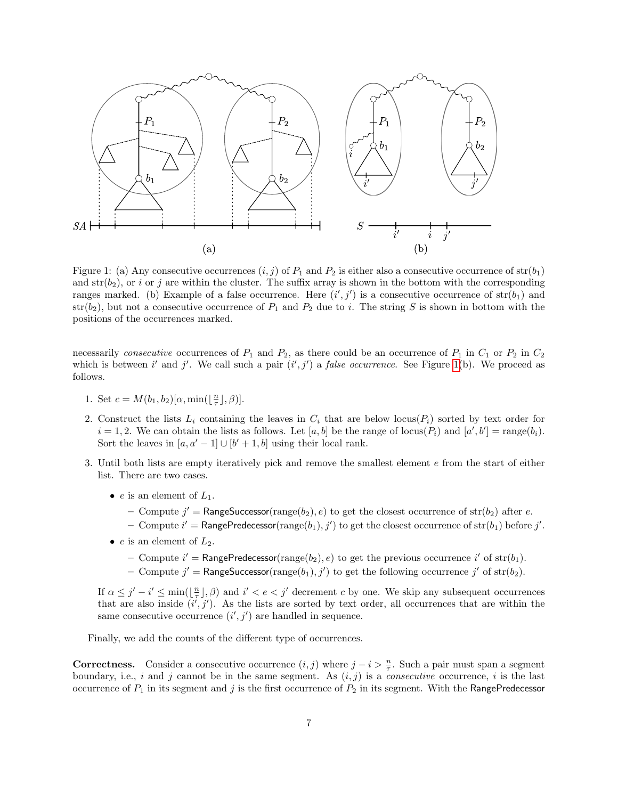<span id="page-6-0"></span>

Figure 1: (a) Any consecutive occurrences  $(i, j)$  of  $P_1$  and  $P_2$  is either also a consecutive occurrence of  $str(b_1)$ and  $str(b_2)$ , or i or j are within the cluster. The suffix array is shown in the bottom with the corresponding ranges marked. (b) Example of a false occurrence. Here  $(i',j')$  is a consecutive occurrence of  $str(b_1)$  and  $str(b_2)$ , but not a consecutive occurrence of  $P_1$  and  $P_2$  due to i. The string S is shown in bottom with the positions of the occurrences marked.

necessarily consecutive occurrences of  $P_1$  and  $P_2$ , as there could be an occurrence of  $P_1$  in  $C_1$  or  $P_2$  in  $C_2$ which is between i' and j'. We call such a pair  $(i', j')$  a *false occurrence*. See Figure [1\(](#page-6-0)b). We proceed as follows.

- 1. Set  $c = M(b_1, b_2)[\alpha, \min(\lfloor \frac{n}{\tau} \rfloor, \beta)].$
- 2. Construct the lists  $L_i$  containing the leaves in  $C_i$  that are below locus( $P_i$ ) sorted by text order for  $i = 1, 2$ . We can obtain the lists as follows. Let [a, b] be the range of locus( $P_i$ ) and [a', b'] = range(b<sub>i</sub>). Sort the leaves in  $[a, a' - 1] \cup [b' + 1, b]$  using their local rank.
- 3. Until both lists are empty iteratively pick and remove the smallest element e from the start of either list. There are two cases.
	- e is an element of  $L_1$ .
		- Compute  $j'$  = RangeSuccessor(range(b<sub>2</sub>), e) to get the closest occurrence of str(b<sub>2</sub>) after e.
		- Compute  $i' = \text{RangePredecessary}(range(b_1), j')$  to get the closest occurrence of  $str(b_1)$  before  $j'.$
	- e is an element of  $L_2$ .
		- Compute  $i' = \text{RangePredecessary}(\text{range}(b_2), e)$  to get the previous occurrence  $i'$  of  $str(b_1)$ .
		- Compute  $j' = \text{RangeSuccessor}(\text{range}(b_1), j')$  to get the following occurrence  $j'$  of  $\text{str}(b_2)$ .

If  $\alpha \leq j'-i' \leq \min(\lfloor \frac{n}{\tau} \rfloor, \beta)$  and  $i' < e < j'$  decrement c by one. We skip any subsequent occurrences that are also inside  $(i', j')$ . As the lists are sorted by text order, all occurrences that are within the same consecutive occurrence  $(i', j')$  are handled in sequence.

Finally, we add the counts of the different type of occurrences.

**Correctness.** Consider a consecutive occurrence  $(i, j)$  where  $j - i > \frac{n}{\tau}$ . Such a pair must span a segment boundary, i.e., i and j cannot be in the same segment. As  $(i, j)$  is a *consecutive* occurrence, i is the last occurrence of  $P_1$  in its segment and j is the first occurrence of  $P_2$  in its segment. With the RangePredecessor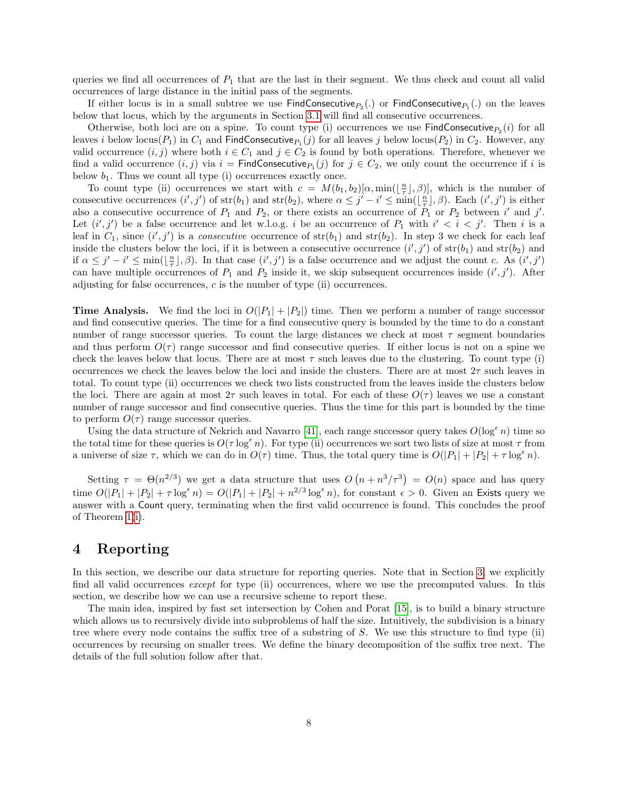queries we find all occurrences of  $P_1$  that are the last in their segment. We thus check and count all valid occurrences of large distance in the initial pass of the segments.

If either locus is in a small subtree we use  $\mathsf{FindConsecutive}_{P_2}(.)$  or  $\mathsf{FindConsecutive}_{P_1}(.)$  on the leaves below that locus, which by the arguments in Section [3.1](#page-3-2) will find all consecutive occurrences.

Otherwise, both loci are on a spine. To count type (i) occurrences we use  $\textsf{FindConsecutive}_{P_2}(i)$  for all leaves *i* below locus( $P_1$ ) in  $C_1$  and FindConsecutive $P_1(j)$  for all leaves *j* below locus( $P_2$ ) in  $C_2$ . However, any valid occurrence  $(i, j)$  where both  $i \in C_1$  and  $j \in C_2$  is found by both operations. Therefore, whenever we find a valid occurrence  $(i, j)$  via  $i = \mathsf{FindConsecutive}_{P_1}(j)$  for  $j \in C_2$ , we only count the occurrence if i is below  $b_1$ . Thus we count all type (i) occurrences exactly once.

To count type (ii) occurrences we start with  $c = M(b_1, b_2)[\alpha, \min(\lfloor \frac{n}{\tau} \rfloor, \beta)]$ , which is the number of consecutive occurrences  $(i', j')$  of  $str(b_1)$  and  $str(b_2)$ , where  $\alpha \leq j'-i' \leq \min(\lfloor \frac{n}{\tau} \rfloor, \beta)$ . Each  $(i', j')$  is either also a consecutive occurrence of  $P_1$  and  $P_2$ , or there exists an occurrence of  $P_1$  or  $P_2$  between i' and j'. Let  $(i',j')$  be a false occurrence and let w.l.o.g. i be an occurrence of  $P_1$  with  $i' < i < j'$ . Then i is a leaf in  $C_1$ , since  $(i', j')$  is a *consecutive* occurrence of  $str(b_1)$  and  $str(b_2)$ . In step 3 we check for each leaf inside the clusters below the loci, if it is between a consecutive occurrence  $(i',j')$  of  $str(b_1)$  and  $str(b_2)$  and if  $\alpha \leq j'-i' \leq \min(\lfloor \frac{n}{\tau} \rfloor, \beta)$ . In that case  $(i', j')$  is a false occurrence and we adjust the count c. As  $(i', j')$ can have multiple occurrences of  $P_1$  and  $P_2$  inside it, we skip subsequent occurrences inside  $(i', j')$ . After adjusting for false occurrences,  $c$  is the number of type (ii) occurrences.

**Time Analysis.** We find the loci in  $O(|P_1| + |P_2|)$  time. Then we perform a number of range successor and find consecutive queries. The time for a find consecutive query is bounded by the time to do a constant number of range successor queries. To count the large distances we check at most  $\tau$  segment boundaries and thus perform  $O(\tau)$  range successor and find consecutive queries. If either locus is not on a spine we check the leaves below that locus. There are at most  $\tau$  such leaves due to the clustering. To count type (i) occurrences we check the leaves below the loci and inside the clusters. There are at most  $2\tau$  such leaves in total. To count type (ii) occurrences we check two lists constructed from the leaves inside the clusters below the loci. There are again at most  $2\tau$  such leaves in total. For each of these  $O(\tau)$  leaves we use a constant number of range successor and find consecutive queries. Thus the time for this part is bounded by the time to perform  $O(\tau)$  range successor queries.

Using the data structure of Nekrich and Navarro [\[41\]](#page-16-19), each range successor query takes  $O(\log^{\epsilon} n)$  time so the total time for these queries is  $O(\tau \log^{\epsilon} n)$ . For type (ii) occurrences we sort two lists of size at most  $\tau$  from a universe of size  $\tau$ , which we can do in  $O(\tau)$  time. Thus, the total query time is  $O(|P_1| + |P_2| + \tau \log^{\epsilon} n)$ .

Setting  $\tau = \Theta(n^{2/3})$  we get a data structure that uses  $O(n + n^3/\tau^3) = O(n)$  space and has query time  $O(|P_1| + |P_2| + \tau \log^{\epsilon} n) = O(|P_1| + |P_2| + n^{2/3} \log^{\epsilon} n)$ , for constant  $\epsilon > 0$ . Given an Exists query we answer with a Count query, terminating when the first valid occurrence is found. This concludes the proof of Theorem [1](#page-1-0)[\(i\)](#page-1-3).

### <span id="page-7-0"></span>4 Reporting

In this section, we describe our data structure for reporting queries. Note that in Section [3,](#page-3-1) we explicitly find all valid occurrences *except* for type (ii) occurrences, where we use the precomputed values. In this section, we describe how we can use a recursive scheme to report these.

The main idea, inspired by fast set intersection by Cohen and Porat [\[15\]](#page-15-15), is to build a binary structure which allows us to recursively divide into subproblems of half the size. Intuitively, the subdivision is a binary tree where every node contains the suffix tree of a substring of  $S$ . We use this structure to find type (ii) occurrences by recursing on smaller trees. We define the binary decomposition of the suffix tree next. The details of the full solution follow after that.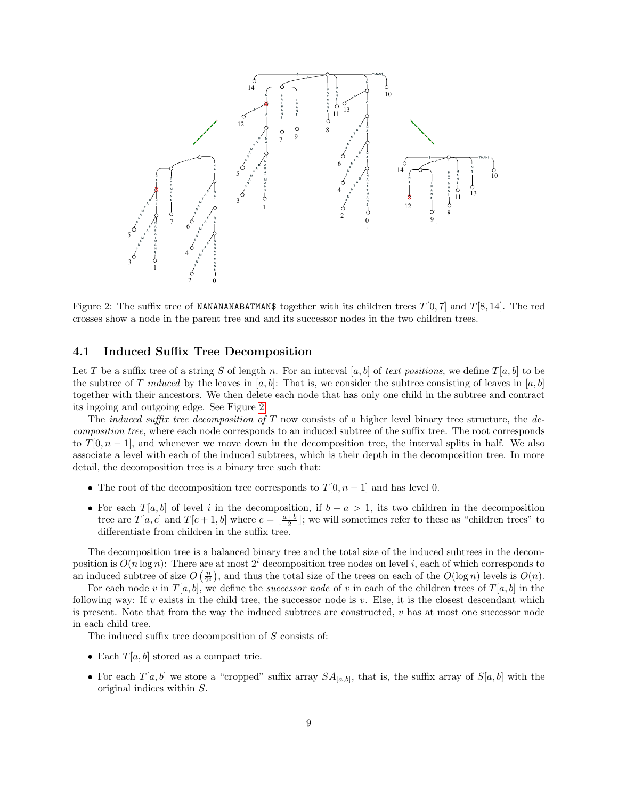<span id="page-8-0"></span>

Figure 2: The suffix tree of NANANANABATMAN\$ together with its children trees  $T[0, 7]$  and  $T[8, 14]$ . The red crosses show a node in the parent tree and and its successor nodes in the two children trees.

### <span id="page-8-1"></span>4.1 Induced Suffix Tree Decomposition

Let T be a suffix tree of a string S of length n. For an interval [a, b] of text positions, we define  $T[a, b]$  to be the subtree of T induced by the leaves in [a, b]: That is, we consider the subtree consisting of leaves in [a, b] together with their ancestors. We then delete each node that has only one child in the subtree and contract its ingoing and outgoing edge. See Figure [2.](#page-8-0)

The *induced suffix tree decomposition of*  $T$  now consists of a higher level binary tree structure, the *de*composition tree, where each node corresponds to an induced subtree of the suffix tree. The root corresponds to  $T[0, n-1]$ , and whenever we move down in the decomposition tree, the interval splits in half. We also associate a level with each of the induced subtrees, which is their depth in the decomposition tree. In more detail, the decomposition tree is a binary tree such that:

- The root of the decomposition tree corresponds to  $T[0, n-1]$  and has level 0.
- For each  $T[a, b]$  of level i in the decomposition, if  $b a > 1$ , its two children in the decomposition tree are  $T[a, c]$  and  $T[c + 1, b]$  where  $c = \lfloor \frac{a+b}{2} \rfloor$ ; we will sometimes refer to these as "children trees" to differentiate from children in the suffix tree.

The decomposition tree is a balanced binary tree and the total size of the induced subtrees in the decomposition is  $O(n \log n)$ : There are at most  $2^i$  decomposition tree nodes on level i, each of which corresponds to an induced subtree of size  $O\left(\frac{n}{2^i}\right)$ , and thus the total size of the trees on each of the  $O(\log n)$  levels is  $O(n)$ .

For each node v in  $T[a, b]$ , we define the successor node of v in each of the children trees of  $T[a, b]$  in the following way: If  $v$  exists in the child tree, the successor node is  $v$ . Else, it is the closest descendant which is present. Note that from the way the induced subtrees are constructed,  $v$  has at most one successor node in each child tree.

The induced suffix tree decomposition of S consists of:

- Each  $T[a, b]$  stored as a compact trie.
- For each  $T[a, b]$  we store a "cropped" suffix array  $SA_{[a, b]}$ , that is, the suffix array of  $S[a, b]$  with the original indices within S.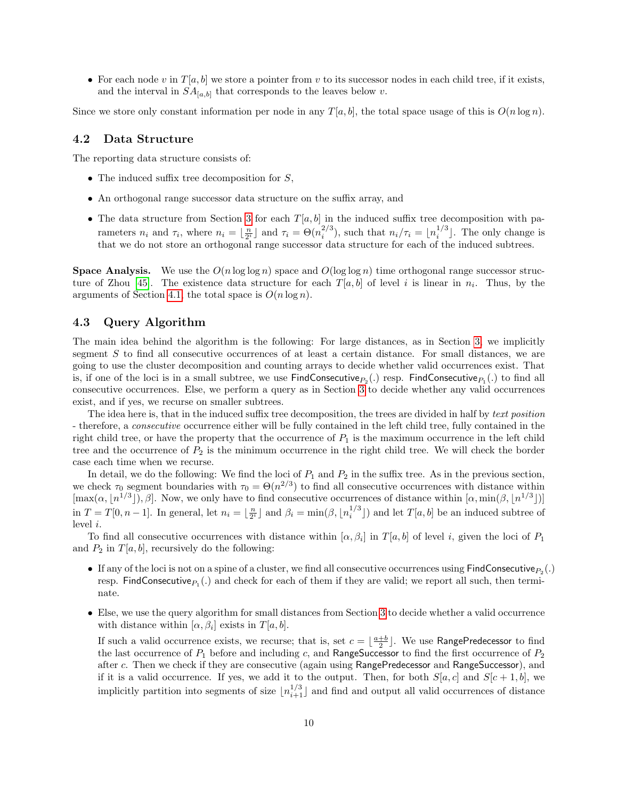• For each node v in  $T[a, b]$  we store a pointer from v to its successor nodes in each child tree, if it exists, and the interval in  $SA_{[a,b]}$  that corresponds to the leaves below v.

Since we store only constant information per node in any  $T[a, b]$ , the total space usage of this is  $O(n \log n)$ .

#### 4.2 Data Structure

The reporting data structure consists of:

- The induced suffix tree decomposition for  $S$ ,
- An orthogonal range successor data structure on the suffix array, and
- The data structure from Section [3](#page-3-1) for each  $T[a, b]$  in the induced suffix tree decomposition with parameters  $n_i$  and  $\tau_i$ , where  $n_i = \lfloor \frac{n}{2^i} \rfloor$  and  $\tau_i = \Theta(n_i^{2/3})$ , such that  $n_i/\tau_i = \lfloor n_i^{1/3} \rfloor$ . The only change is that we do not store an orthogonal range successor data structure for each of the induced subtrees.

**Space Analysis.** We use the  $O(n \log \log n)$  space and  $O(\log \log n)$  time orthogonal range successor struc-ture of Zhou [\[45\]](#page-16-20). The existence data structure for each  $T[a, b]$  of level i is linear in  $n_i$ . Thus, by the arguments of Section [4.1,](#page-8-1) the total space is  $O(n \log n)$ .

### 4.3 Query Algorithm

The main idea behind the algorithm is the following: For large distances, as in Section [3,](#page-3-1) we implicitly segment S to find all consecutive occurrences of at least a certain distance. For small distances, we are going to use the cluster decomposition and counting arrays to decide whether valid occurrences exist. That is, if one of the loci is in a small subtree, we use  ${\sf FindConsecutive}_{P_2}(.)$  resp.  ${\sf FindConsecutive}_{P_1}(.)$  to find all consecutive occurrences. Else, we perform a query as in Section [3](#page-3-1) to decide whether any valid occurrences exist, and if yes, we recurse on smaller subtrees.

The idea here is, that in the induced suffix tree decomposition, the trees are divided in half by text position - therefore, a consecutive occurrence either will be fully contained in the left child tree, fully contained in the right child tree, or have the property that the occurrence of  $P_1$  is the maximum occurrence in the left child tree and the occurrence of  $P_2$  is the minimum occurrence in the right child tree. We will check the border case each time when we recurse.

In detail, we do the following: We find the loci of  $P_1$  and  $P_2$  in the suffix tree. As in the previous section, we check  $\tau_0$  segment boundaries with  $\tau_0 = \Theta(n^{2/3})$  to find all consecutive occurrences with distance within  $[\max(\alpha, n^{1/3}]), \beta]$ . Now, we only have to find consecutive occurrences of distance within  $[\alpha, \min(\beta, n^{1/3}])]$ in  $T = T[0, n-1]$ . In general, let  $n_i = \lfloor \frac{n}{2^i} \rfloor$  and  $\beta_i = \min(\beta, \lfloor n_i^{1/3} \rfloor)$  and let  $T[a, b]$  be an induced subtree of level i.

To find all consecutive occurrences with distance within  $[\alpha, \beta_i]$  in  $T[a, b]$  of level i, given the loci of  $P_1$ and  $P_2$  in  $T[a, b]$ , recursively do the following:

- If any of the loci is not on a spine of a cluster, we find all consecutive occurrences using  $\textsf{FindConsecutive}_{P_2}(.)$ resp. FindConsecutive $P_1(.)$  and check for each of them if they are valid; we report all such, then terminate.
- Else, we use the query algorithm for small distances from Section [3](#page-3-1) to decide whether a valid occurrence with distance within  $[\alpha, \beta_i]$  exists in  $T[a, b]$ .

If such a valid occurrence exists, we recurse; that is, set  $c = \lfloor \frac{a+b}{2} \rfloor$ . We use RangePredecessor to find the last occurrence of  $P_1$  before and including c, and RangeSuccessor to find the first occurrence of  $P_2$ after c. Then we check if they are consecutive (again using RangePredecessor and RangeSuccessor), and if it is a valid occurrence. If yes, we add it to the output. Then, for both  $S[a, c]$  and  $S[c + 1, b]$ , we implicitly partition into segments of size  $\lfloor n_{i+1}^{1/3} \rfloor$  and find and output all valid occurrences of distance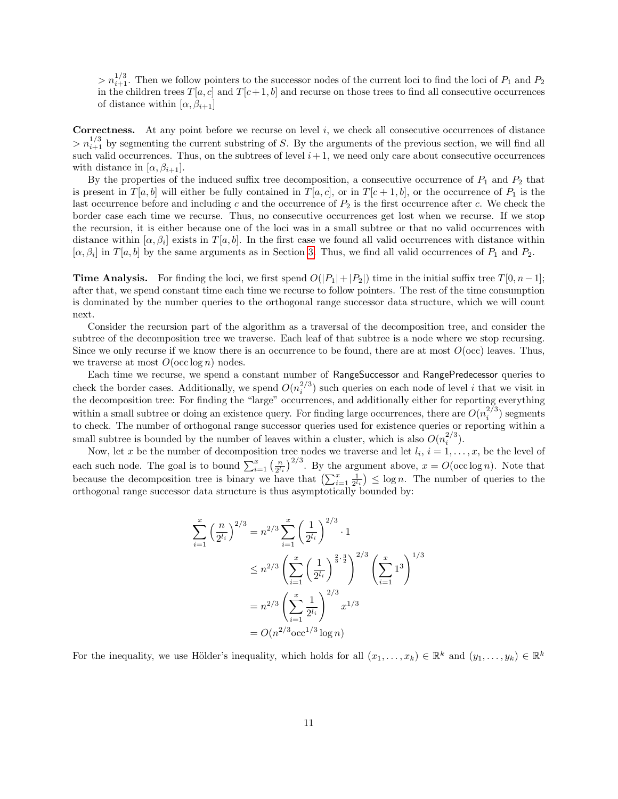$> n_{i+1}^{1/3}$ . Then we follow pointers to the successor nodes of the current loci to find the loci of  $P_1$  and  $P_2$ in the children trees  $T[a, c]$  and  $T[c + 1, b]$  and recurse on those trees to find all consecutive occurrences of distance within  $[\alpha, \beta_{i+1}]$ 

**Correctness.** At any point before we recurse on level i, we check all consecutive occurrences of distance  $> n_{i+1}^{1/3}$  by segmenting the current substring of S. By the arguments of the previous section, we will find all such valid occurrences. Thus, on the subtrees of level  $i+1$ , we need only care about consecutive occurrences with distance in  $[\alpha, \beta_{i+1}].$ 

By the properties of the induced suffix tree decomposition, a consecutive occurrence of  $P_1$  and  $P_2$  that is present in  $T[a, b]$  will either be fully contained in  $T[a, c]$ , or in  $T[c + 1, b]$ , or the occurrence of  $P_1$  is the last occurrence before and including c and the occurrence of  $P_2$  is the first occurrence after c. We check the border case each time we recurse. Thus, no consecutive occurrences get lost when we recurse. If we stop the recursion, it is either because one of the loci was in a small subtree or that no valid occurrences with distance within  $[\alpha, \beta_i]$  exists in  $T[a, b]$ . In the first case we found all valid occurrences with distance within  $[\alpha, \beta_i]$  in  $T[a, b]$  by the same arguments as in Section [3.](#page-3-1) Thus, we find all valid occurrences of  $P_1$  and  $P_2$ .

**Time Analysis.** For finding the loci, we first spend  $O(|P_1|+|P_2|)$  time in the initial suffix tree  $T[0, n-1]$ ; after that, we spend constant time each time we recurse to follow pointers. The rest of the time consumption is dominated by the number queries to the orthogonal range successor data structure, which we will count next.

Consider the recursion part of the algorithm as a traversal of the decomposition tree, and consider the subtree of the decomposition tree we traverse. Each leaf of that subtree is a node where we stop recursing. Since we only recurse if we know there is an occurrence to be found, there are at most  $O(\text{occ})$  leaves. Thus, we traverse at most  $O(\operatorname{occ} \log n)$  nodes.

Each time we recurse, we spend a constant number of RangeSuccessor and RangePredecessor queries to check the border cases. Additionally, we spend  $O(n_i^{2/3})$  such queries on each node of level i that we visit in the decomposition tree: For finding the "large" occurrences, and additionally either for reporting everything within a small subtree or doing an existence query. For finding large occurrences, there are  $O(n_i^{2/3})$  segments to check. The number of orthogonal range successor queries used for existence queries or reporting within a small subtree is bounded by the number of leaves within a cluster, which is also  $O(n_i^{2/3})$ .

Now, let x be the number of decomposition tree nodes we traverse and let  $l_i$ ,  $i = 1, \ldots, x$ , be the level of each such node. The goal is to bound  $\sum_{i=1}^{x} \left(\frac{n}{2^{l_i}}\right)^{2/3}$ . By the argument above,  $x = O(\operatorname{occ} \log n)$ . Note that because the decomposition tree is binary we have that  $\left(\sum_{i=1}^x \frac{1}{2^{l_i}}\right) \leq \log n$ . The number of queries to the orthogonal range successor data structure is thus asymptotically bounded by:

$$
\sum_{i=1}^{x} \left(\frac{n}{2^{l_i}}\right)^{2/3} = n^{2/3} \sum_{i=1}^{x} \left(\frac{1}{2^{l_i}}\right)^{2/3} \cdot 1
$$
  

$$
\leq n^{2/3} \left(\sum_{i=1}^{x} \left(\frac{1}{2^{l_i}}\right)^{\frac{2}{3} \cdot \frac{3}{2}}\right)^{2/3} \left(\sum_{i=1}^{x} 1^3\right)^{1/3}
$$
  

$$
= n^{2/3} \left(\sum_{i=1}^{x} \frac{1}{2^{l_i}}\right)^{2/3} x^{1/3}
$$
  

$$
= O(n^{2/3} \operatorname{occ}^{1/3} \log n)
$$

For the inequality, we use Hölder's inequality, which holds for all  $(x_1, \ldots, x_k) \in \mathbb{R}^k$  and  $(y_1, \ldots, y_k) \in \mathbb{R}^k$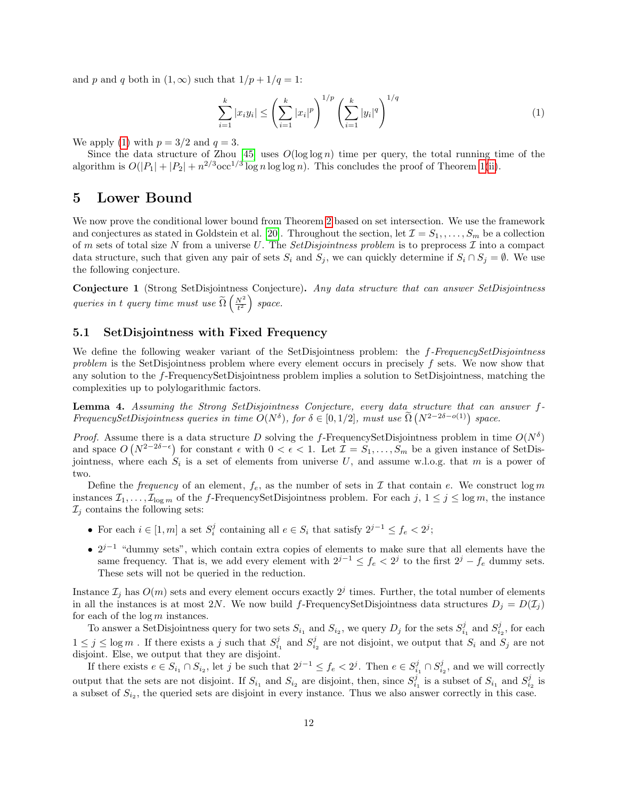and p and q both in  $(1, \infty)$  such that  $1/p + 1/q = 1$ :

<span id="page-11-1"></span>
$$
\sum_{i=1}^{k} |x_i y_i| \le \left(\sum_{i=1}^{k} |x_i|^p\right)^{1/p} \left(\sum_{i=1}^{k} |y_i|^q\right)^{1/q} \tag{1}
$$

We apply [\(1\)](#page-11-1) with  $p = 3/2$  and  $q = 3$ .

Since the data structure of Zhou [\[45\]](#page-16-20) uses  $O(\log \log n)$  time per query, the total running time of the algorithm is  $O(|P_1| + |P_2| + n^{2/3} \text{occ}^{1/3} \log n \log \log n)$ . This concludes the proof of Theorem [1\(](#page-1-0)[ii\)](#page-1-2).

### <span id="page-11-0"></span>5 Lower Bound

We now prove the conditional lower bound from Theorem [2](#page-1-1) based on set intersection. We use the framework and conjectures as stated in Goldstein et al. [\[20\]](#page-15-10). Throughout the section, let  $\mathcal{I} = S_1, \ldots, S_m$  be a collection of m sets of total size N from a universe U. The SetDisjointness problem is to preprocess  $\mathcal I$  into a compact data structure, such that given any pair of sets  $S_i$  and  $S_j$ , we can quickly determine if  $S_i \cap S_j = \emptyset$ . We use the following conjecture.

<span id="page-11-2"></span>Conjecture 1 (Strong SetDisjointness Conjecture). Any data structure that can answer SetDisjointness queries in t query time must use  $\widetilde{\Omega}\left(\frac{N^2}{t^2}\right)$  space.

### 5.1 SetDisjointness with Fixed Frequency

We define the following weaker variant of the SetDisjointness problem: the f-FrequencySetDisjointness problem is the SetDisjointness problem where every element occurs in precisely f sets. We now show that any solution to the f-FrequencySetDisjointness problem implies a solution to SetDisjointness, matching the complexities up to polylogarithmic factors.

<span id="page-11-3"></span>**Lemma 4.** Assuming the Strong SetDisjointness Conjecture, every data structure that can answer  $f$ -FrequencySetDisjointness queries in time  $O(N^{\delta})$ , for  $\delta \in [0,1/2]$ , must use  $\tilde{\Omega}(N^{2-2\delta-o(1)})$  space.

*Proof.* Assume there is a data structure D solving the f-FrequencySetDisjointness problem in time  $O(N^{\delta})$ and space  $O(N^{2-2\delta-\epsilon})$  for constant  $\epsilon$  with  $0 < \epsilon < 1$ . Let  $\mathcal{I} = S_1, \ldots, S_m$  be a given instance of SetDisjointness, where each  $S_i$  is a set of elements from universe U, and assume w.l.o.g. that m is a power of two.

Define the frequency of an element,  $f_e$ , as the number of sets in  $\mathcal I$  that contain e. We construct log m instances  $\mathcal{I}_1, \ldots, \mathcal{I}_{\log m}$  of the f-FrequencySetDisjointness problem. For each  $j, 1 \leq j \leq \log m$ , the instance  $\mathcal{I}_j$  contains the following sets:

- For each  $i \in [1, m]$  a set  $S_i^j$  containing all  $e \in S_i$  that satisfy  $2^{j-1} \le f_e < 2^j$ ;
- $2^{j-1}$  "dummy sets", which contain extra copies of elements to make sure that all elements have the same frequency. That is, we add every element with  $2^{j-1} \le f_e < 2^j$  to the first  $2^j - f_e$  dummy sets. These sets will not be queried in the reduction.

Instance  $\mathcal{I}_j$  has  $O(m)$  sets and every element occurs exactly  $2^j$  times. Further, the total number of elements in all the instances is at most 2N. We now build f-FrequencySetDisjointness data structures  $D_j = D(\mathcal{I}_j)$ for each of the  $\log m$  instances.

To answer a SetDisjointness query for two sets  $S_{i_1}$  and  $S_{i_2}$ , we query  $D_j$  for the sets  $S_{i_1}^j$  and  $S_{i_2}^j$ , for each  $1 \leq j \leq \log m$ . If there exists a j such that  $S_{i_1}^j$  and  $S_{i_2}^j$  are not disjoint, we output that  $S_i$  and  $S_j$  are not disjoint. Else, we output that they are disjoint.

If there exists  $e \in S_{i_1} \cap S_{i_2}$ , let j be such that  $2^{j-1} \le f_e < 2^j$ . Then  $e \in S_{i_1}^j \cap S_{i_2}^j$ , and we will correctly output that the sets are not disjoint. If  $S_{i_1}$  and  $S_{i_2}$  are disjoint, then, since  $S_{i_1}^j$  is a subset of  $S_{i_1}$  and  $S_{i_2}^j$  is a subset of  $S_{i_2}$ , the queried sets are disjoint in every instance. Thus we also answer correctly in this case.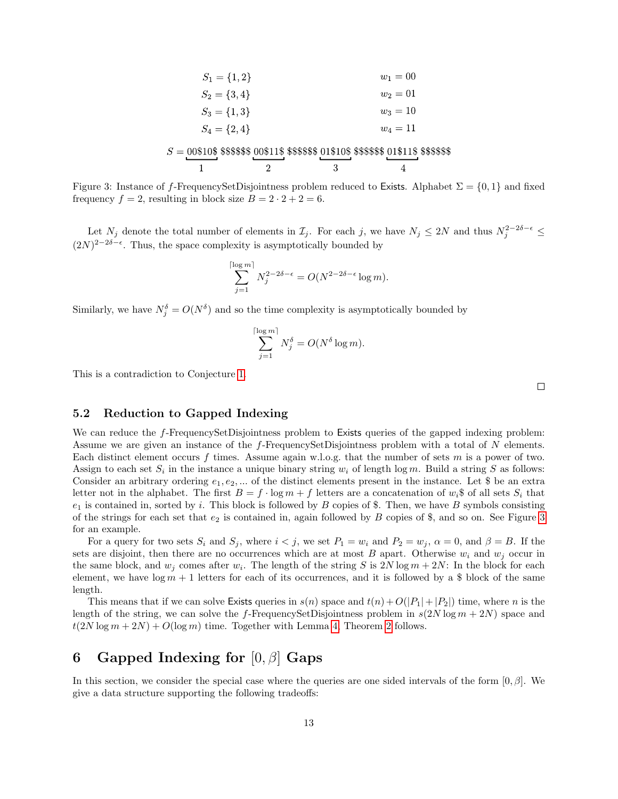<span id="page-12-1"></span>

| $S_1 = \{1,2\}$                                                                               |  |  | $w_1 = 00$ |  |
|-----------------------------------------------------------------------------------------------|--|--|------------|--|
| $S_2 = \{3,4\}$                                                                               |  |  | $w_2 = 01$ |  |
| $S_3 = \{1,3\}$                                                                               |  |  | $w_3 = 10$ |  |
| $S_4 = \{2,4\}$                                                                               |  |  | $w_4 = 11$ |  |
| $S = 00\$10\$$ \$\$\$\$\$\$ 00\$11\$ \$\$\$\$\$\$ 01\$10\$ \$\$\$\$\$\$ 01\$11\$ \$\$\$\$\$\$ |  |  |            |  |
|                                                                                               |  |  |            |  |

Figure 3: Instance of f-FrequencySetDisjointness problem reduced to Exists. Alphabet  $\Sigma = \{0, 1\}$  and fixed frequency  $f = 2$ , resulting in block size  $B = 2 \cdot 2 + 2 = 6$ .

Let  $N_j$  denote the total number of elements in  $\mathcal{I}_j$ . For each j, we have  $N_j \leq 2N$  and thus  $N_j^{2-2\delta-\epsilon} \leq$  $(2N)^{2-2\delta-\epsilon}$ . Thus, the space complexity is asymptotically bounded by

$$
\sum_{j=1}^{\lceil \log m \rceil} N_j^{2-2\delta-\epsilon} = O(N^{2-2\delta-\epsilon} \log m).
$$

Similarly, we have  $N_j^{\delta} = O(N^{\delta})$  and so the time complexity is asymptotically bounded by

$$
\sum_{j=1}^{\lceil \log m \rceil} N_j^{\delta} = O(N^{\delta} \log m).
$$

This is a contradiction to Conjecture [1.](#page-11-2)

 $\Box$ 

### 5.2 Reduction to Gapped Indexing

We can reduce the f-FrequencySetDisjointness problem to Exists queries of the gapped indexing problem: Assume we are given an instance of the f-FrequencySetDisjointness problem with a total of N elements. Each distinct element occurs f times. Assume again w.l.o.g. that the number of sets m is a power of two. Assign to each set  $S_i$  in the instance a unique binary string  $w_i$  of length log m. Build a string S as follows: Consider an arbitrary ordering  $e_1, e_2, \dots$  of the distinct elements present in the instance. Let \$ be an extra letter not in the alphabet. The first  $B = f \cdot \log m + f$  letters are a concatenation of  $w_i$  of all sets  $S_i$  that  $e_1$  is contained in, sorted by i. This block is followed by B copies of \$. Then, we have B symbols consisting of the strings for each set that  $e_2$  is contained in, again followed by B copies of \$, and so on. See Figure [3](#page-12-1) for an example.

For a query for two sets  $S_i$  and  $S_j$ , where  $i < j$ , we set  $P_1 = w_i$  and  $P_2 = w_j$ ,  $\alpha = 0$ , and  $\beta = B$ . If the sets are disjoint, then there are no occurrences which are at most B apart. Otherwise  $w_i$  and  $w_j$  occur in the same block, and  $w_j$  comes after  $w_i$ . The length of the string S is  $2N \log m + 2N$ : In the block for each element, we have  $\log m + 1$  letters for each of its occurrences, and it is followed by a \$ block of the same length.

This means that if we can solve Exists queries in  $s(n)$  space and  $t(n) + O(|P_1| + |P_2|)$  time, where n is the length of the string, we can solve the f-FrequencySetDisjointness problem in  $s(2N \log m + 2N)$  space and  $t(2N \log m + 2N) + O(\log m)$  $t(2N \log m + 2N) + O(\log m)$  $t(2N \log m + 2N) + O(\log m)$  time. Together with Lemma [4,](#page-11-3) Theorem 2 follows.

# <span id="page-12-0"></span>6 Gapped Indexing for  $[0, \beta]$  Gaps

In this section, we consider the special case where the queries are one sided intervals of the form  $[0, \beta]$ . We give a data structure supporting the following tradeoffs: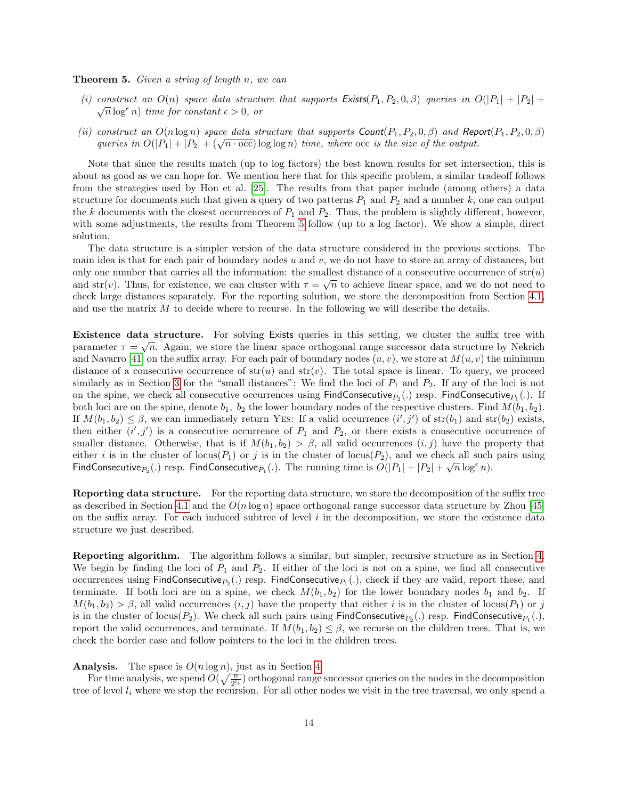#### <span id="page-13-1"></span>Theorem 5. Given a string of length n, we can

- <span id="page-13-0"></span>(i) construct an  $O(n)$  space data structure that supports  $Exists(P_1, P_2, 0, \beta)$  queries in  $O(|P_1| + |P_2| + \sqrt{\frac{n}{n}})$  $\sqrt{n} \log^{\epsilon} n$ ) time for constant  $\epsilon > 0$ , or
- (ii) construct an  $O(n \log n)$  space data structure that supports  $Count(P_1, P_2, 0, \beta)$  and Report $(P_1, P_2, 0, \beta)$ construct an  $O(n \log n)$  space and structure that supports  $\text{Count}(F_1, F_2, 0, \beta)$  and  $\text{Rep}$ <br>queries in  $O(|P_1| + |P_2| + (\sqrt{n \cdot \text{occ}}) \log \log n)$  time, where  $\text{occ}$  is the size of the output.

Note that since the results match (up to log factors) the best known results for set intersection, this is about as good as we can hope for. We mention here that for this specific problem, a similar tradeoff follows from the strategies used by Hon et al. [\[25\]](#page-16-8). The results from that paper include (among others) a data structure for documents such that given a query of two patterns  $P_1$  and  $P_2$  and a number k, one can output the k documents with the closest occurrences of  $P_1$  and  $P_2$ . Thus, the problem is slightly different, however, with some adjustments, the results from Theorem [5](#page-13-1) follow (up to a log factor). We show a simple, direct solution.

The data structure is a simpler version of the data structure considered in the previous sections. The main idea is that for each pair of boundary nodes  $u$  and  $v$ , we do not have to store an array of distances, but only one number that carries all the information: the smallest distance of a consecutive occurrence of  $str(u)$ and str(v). Thus, for existence, we can cluster with  $\tau = \sqrt{n}$  to achieve linear space, and we do not need to check large distances separately. For the reporting solution, we store the decomposition from Section [4.1,](#page-8-1) and use the matrix M to decide where to recurse. In the following we will describe the details.

Existence data structure. For solving Exists queries in this setting, we cluster the suffix tree with √ parameter  $\tau = \sqrt{n}$ . Again, we store the linear space orthogonal range successor data structure by Nekrich and Navarro [\[41\]](#page-16-19) on the suffix array. For each pair of boundary nodes  $(u, v)$ , we store at  $M(u, v)$  the minimum distance of a consecutive occurrence of  $str(u)$  and  $str(v)$ . The total space is linear. To query, we proceed similarly as in Section [3](#page-3-1) for the "small distances": We find the loci of  $P_1$  and  $P_2$ . If any of the loci is not on the spine, we check all consecutive occurrences using  $\textsf{FindConsecutive}_{P_2}(.)$  resp.  $\textsf{FindConsecutive}_{P_1}(.)$ . If both loci are on the spine, denote  $b_1$ ,  $b_2$  the lower boundary nodes of the respective clusters. Find  $M(b_1, b_2)$ . If  $M(b_1, b_2) \leq \beta$ , we can immediately return YES: If a valid occurrence  $(i', j')$  of  $str(b_1)$  and  $str(b_2)$  exists, then either  $(i', j')$  is a consecutive occurrence of  $P_1$  and  $P_2$ , or there exists a consecutive occurrence of smaller distance. Otherwise, that is if  $M(b_1, b_2) > \beta$ , all valid occurrences  $(i, j)$  have the property that either *i* is in the cluster of locus( $P_1$ ) or *j* is in the cluster of locus( $P_2$ ), and we check all such pairs using FindConsecutive<sub>P<sub>2</sub></sub>(.) resp. FindConsecutive<sub>P<sub>1</sub></sub>(.). The running time is  $O(|P_1| + |P_2| + \sqrt{n} \log^{\epsilon} n)$ .

Reporting data structure. For the reporting data structure, we store the decomposition of the suffix tree as described in Section [4.1](#page-8-1) and the  $O(n \log n)$  space orthogonal range successor data structure by Zhou [\[45\]](#page-16-20) on the suffix array. For each induced subtree of level  $i$  in the decomposition, we store the existence data structure we just described.

Reporting algorithm. The algorithm follows a similar, but simpler, recursive structure as in Section [4.](#page-7-0) We begin by finding the loci of  $P_1$  and  $P_2$ . If either of the loci is not on a spine, we find all consecutive occurrences using  $\mathsf{FindConsecutive}_{P_2}(.)$  resp.  $\mathsf{FindConsecutive}_{P_1}(.)$ , check if they are valid, report these, and terminate. If both loci are on a spine, we check  $M(b_1, b_2)$  for the lower boundary nodes  $b_1$  and  $b_2$ . If  $M(b_1, b_2) > \beta$ , all valid occurrences  $(i, j)$  have the property that either i is in the cluster of locus( $P_1$ ) or j is in the cluster of locus( $P_2$ ). We check all such pairs using  $\mathsf{FindConsecutive}_{P_2}(.)$  resp.  $\mathsf{FindConsecutive}_{P_1}(.)$ , report the valid occurrences, and terminate. If  $M(b_1, b_2) \leq \beta$ , we recurse on the children trees. That is, we check the border case and follow pointers to the loci in the children trees.

#### **Analysis.** The space is  $O(n \log n)$ , just as in Section [4.](#page-7-0)

For time analysis, we spend  $O(\sqrt{\frac{n}{2^{l_i}}})$  orthogonal range successor queries on the nodes in the decomposition tree of level  $l_i$  where we stop the recursion. For all other nodes we visit in the tree traversal, we only spend a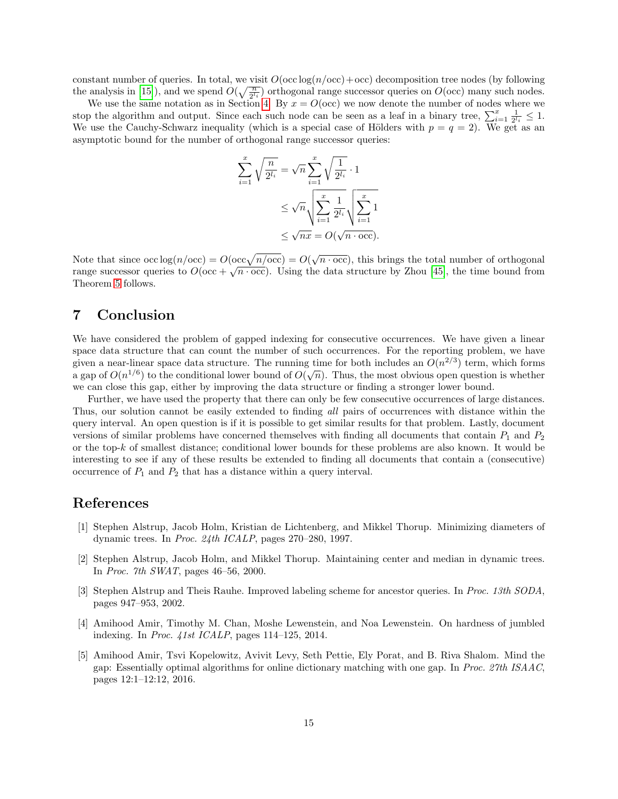constant number of queries. In total, we visit  $O(\text{occ} \log(n/\text{occ})+\text{occ})$  decomposition tree nodes (by following the analysis in [\[15\]](#page-15-15)), and we spend  $O(\sqrt{\frac{n}{2^{l_i}}})$  orthogonal range successor queries on  $O(\text{occ})$  many such nodes.

We use the same notation as in Section [4.](#page-7-0) By  $x = O(\text{occ})$  we now denote the number of nodes where we stop the algorithm and output. Since each such node can be seen as a leaf in a binary tree,  $\sum_{i=1}^{x} \frac{1}{2^{l_i}} \leq 1$ . We use the Cauchy-Schwarz inequality (which is a special case of Hölders with  $p = q = 2$ ). We get as an asymptotic bound for the number of orthogonal range successor queries:

$$
\sum_{i=1}^{x} \sqrt{\frac{n}{2^{l_i}}} = \sqrt{n} \sum_{i=1}^{x} \sqrt{\frac{1}{2^{l_i}}} \cdot 1
$$

$$
\leq \sqrt{n} \sqrt{\sum_{i=1}^{x} \frac{1}{2^{l_i}}} \sqrt{\sum_{i=1}^{x} 1}
$$

$$
\leq \sqrt{nx} = O(\sqrt{n} \cdot \text{occ}).
$$

Note that since  $\text{occ}\log(n/\text{occ}) = O(\text{occ}\sqrt{n/\text{occ}}) = O(\sqrt{n \cdot \text{occ}})$ , this brings the total number of orthogonal range successor queries to  $O(\text{occ} + \sqrt{n \cdot \text{occ}})$ . Using the data structure by Zhou [\[45\]](#page-16-20), the time bound from Theorem [5](#page-13-1) follows.

### 7 Conclusion

We have considered the problem of gapped indexing for consecutive occurrences. We have given a linear space data structure that can count the number of such occurrences. For the reporting problem, we have given a near-linear space data structure. The running time for both includes an  $O(n^{2/3})$  term, which forms given a near-intear space data structure. The running time for both includes an  $O(n^{3/2})$  term, which forms a gap of  $O(n^{1/6})$  to the conditional lower bound of  $O(\sqrt{n})$ . Thus, the most obvious open question is whether we can close this gap, either by improving the data structure or finding a stronger lower bound.

Further, we have used the property that there can only be few consecutive occurrences of large distances. Thus, our solution cannot be easily extended to finding all pairs of occurrences with distance within the query interval. An open question is if it is possible to get similar results for that problem. Lastly, document versions of similar problems have concerned themselves with finding all documents that contain  $P_1$  and  $P_2$ or the top-k of smallest distance; conditional lower bounds for these problems are also known. It would be interesting to see if any of these results be extended to finding all documents that contain a (consecutive) occurrence of  $P_1$  and  $P_2$  that has a distance within a query interval.

### References

- <span id="page-14-2"></span>[1] Stephen Alstrup, Jacob Holm, Kristian de Lichtenberg, and Mikkel Thorup. Minimizing diameters of dynamic trees. In Proc. 24th ICALP, pages 270–280, 1997.
- <span id="page-14-3"></span>[2] Stephen Alstrup, Jacob Holm, and Mikkel Thorup. Maintaining center and median in dynamic trees. In Proc. 7th SWAT, pages 46–56, 2000.
- <span id="page-14-4"></span>[3] Stephen Alstrup and Theis Rauhe. Improved labeling scheme for ancestor queries. In Proc. 13th SODA, pages 947–953, 2002.
- <span id="page-14-0"></span>[4] Amihood Amir, Timothy M. Chan, Moshe Lewenstein, and Noa Lewenstein. On hardness of jumbled indexing. In Proc. 41st ICALP, pages 114–125, 2014.
- <span id="page-14-1"></span>[5] Amihood Amir, Tsvi Kopelowitz, Avivit Levy, Seth Pettie, Ely Porat, and B. Riva Shalom. Mind the gap: Essentially optimal algorithms for online dictionary matching with one gap. In Proc. 27th ISAAC, pages 12:1–12:12, 2016.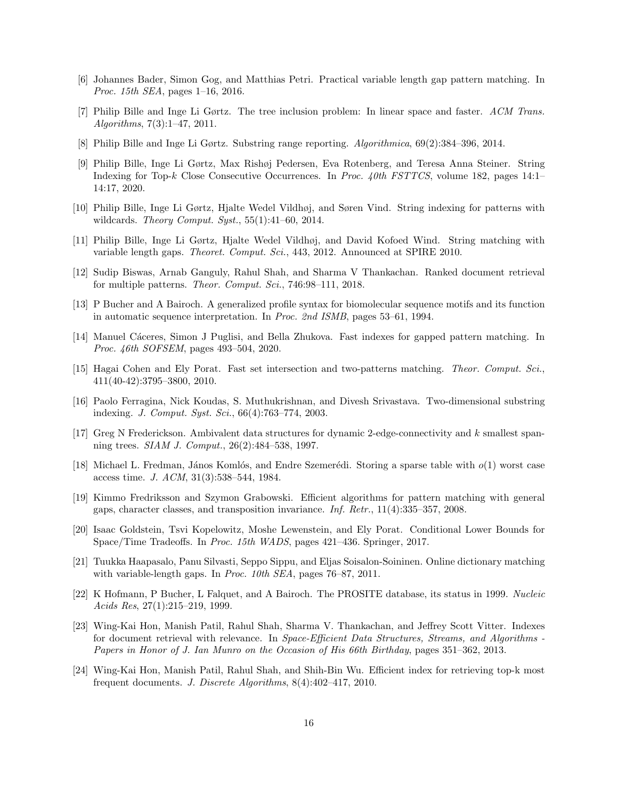- <span id="page-15-0"></span>[6] Johannes Bader, Simon Gog, and Matthias Petri. Practical variable length gap pattern matching. In Proc. 15th SEA, pages 1–16, 2016.
- <span id="page-15-18"></span>[7] Philip Bille and Inge Li Gørtz. The tree inclusion problem: In linear space and faster. ACM Trans. Algorithms, 7(3):1–47, 2011.
- <span id="page-15-1"></span>[8] Philip Bille and Inge Li Gørtz. Substring range reporting. Algorithmica, 69(2):384–396, 2014.
- <span id="page-15-9"></span>[9] Philip Bille, Inge Li Gørtz, Max Rishøj Pedersen, Eva Rotenberg, and Teresa Anna Steiner. String Indexing for Top-k Close Consecutive Occurrences. In Proc. 40th FSTTCS, volume 182, pages 14:1– 14:17, 2020.
- <span id="page-15-2"></span>[10] Philip Bille, Inge Li Gørtz, Hjalte Wedel Vildhøj, and Søren Vind. String indexing for patterns with wildcards. Theory Comput. Syst.,  $55(1):41-60$ , 2014.
- <span id="page-15-4"></span>[11] Philip Bille, Inge Li Gørtz, Hjalte Wedel Vildhøj, and David Kofoed Wind. String matching with variable length gaps. Theoret. Comput. Sci., 443, 2012. Announced at SPIRE 2010.
- <span id="page-15-11"></span>[12] Sudip Biswas, Arnab Ganguly, Rahul Shah, and Sharma V Thankachan. Ranked document retrieval for multiple patterns. Theor. Comput. Sci., 746:98–111, 2018.
- <span id="page-15-5"></span>[13] P Bucher and A Bairoch. A generalized profile syntax for biomolecular sequence motifs and its function in automatic sequence interpretation. In Proc. 2nd ISMB, pages 53–61, 1994.
- <span id="page-15-3"></span>[14] Manuel Cáceres, Simon J Puglisi, and Bella Zhukova. Fast indexes for gapped pattern matching. In Proc. 46th SOFSEM, pages 493–504, 2020.
- <span id="page-15-15"></span>[15] Hagai Cohen and Ely Porat. Fast set intersection and two-patterns matching. Theor. Comput. Sci., 411(40-42):3795–3800, 2010.
- <span id="page-15-14"></span>[16] Paolo Ferragina, Nick Koudas, S. Muthukrishnan, and Divesh Srivastava. Two-dimensional substring indexing. J. Comput. Syst. Sci., 66(4):763–774, 2003.
- <span id="page-15-17"></span>[17] Greg N Frederickson. Ambivalent data structures for dynamic 2-edge-connectivity and k smallest spanning trees. SIAM J. Comput., 26(2):484–538, 1997.
- <span id="page-15-16"></span>[18] Michael L. Fredman, János Komlós, and Endre Szemerédi. Storing a sparse table with  $o(1)$  worst case access time. J. ACM, 31(3):538–544, 1984.
- <span id="page-15-6"></span>[19] Kimmo Fredriksson and Szymon Grabowski. Efficient algorithms for pattern matching with general gaps, character classes, and transposition invariance. Inf. Retr., 11(4):335–357, 2008.
- <span id="page-15-10"></span>[20] Isaac Goldstein, Tsvi Kopelowitz, Moshe Lewenstein, and Ely Porat. Conditional Lower Bounds for Space/Time Tradeoffs. In Proc. 15th WADS, pages 421–436. Springer, 2017.
- <span id="page-15-7"></span>[21] Tuukka Haapasalo, Panu Silvasti, Seppo Sippu, and Eljas Soisalon-Soininen. Online dictionary matching with variable-length gaps. In *Proc. 10th SEA*, pages 76–87, 2011.
- <span id="page-15-8"></span>[22] K Hofmann, P Bucher, L Falquet, and A Bairoch. The PROSITE database, its status in 1999. Nucleic Acids Res, 27(1):215–219, 1999.
- <span id="page-15-12"></span>[23] Wing-Kai Hon, Manish Patil, Rahul Shah, Sharma V. Thankachan, and Jeffrey Scott Vitter. Indexes for document retrieval with relevance. In Space-Efficient Data Structures, Streams, and Algorithms -Papers in Honor of J. Ian Munro on the Occasion of His 66th Birthday, pages 351–362, 2013.
- <span id="page-15-13"></span>[24] Wing-Kai Hon, Manish Patil, Rahul Shah, and Shih-Bin Wu. Efficient index for retrieving top-k most frequent documents. J. Discrete Algorithms, 8(4):402–417, 2010.